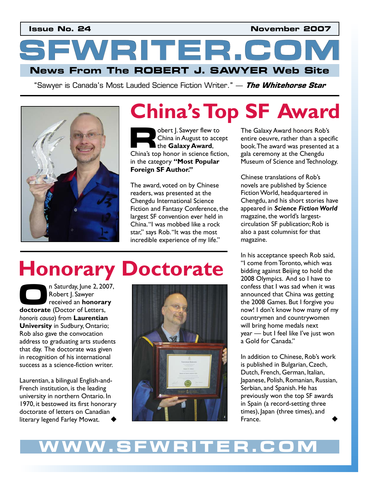**Issue No. 24 November 2007** 

**News From The ROBERT J. SAWYER Web Site SFWRITER.COM** 

"Sawyer is Canada's Most Lauded Science Fiction Writer." — **The Whitehorse Star**



# **China's Top SF Award China's Top SF Award Award Award Achors Rob's**

obert J. Sawyer flew to China in August to accept the **Galaxy Award**, Obert J. Sawyer flew to<br>
China in August to accept<br>
the **Galaxy Award**,<br>
China's top honor in science fiction, in the category **"Most Popular Foreign SF Author."** 

The award, voted on by Chinese readers, was presented at the Chengdu International Science Fiction and Fantasy Conference, the largest SF convention ever held in China. "I was mobbed like a rock star," says Rob. "It was the most incredible experience of my life."

The Galaxy Award honors Rob's entire oeuvre, rather than a specific book. The award was presented at a gala ceremony at the Chengdu Museum of Science and Technology.

Chinese translations of Rob's novels are published by Science Fiction World, headquartered in Chengdu, and his short stories have appeared in *Science Fiction World*  magazine, the world's largestcirculation SF publication; Rob is also a past columnist for that magazine.

In his acceptance speech Rob said, "I come from Toronto, which was bidding against Beijing to hold the 2008 Olympics. And so I have to confess that I was sad when it was announced that China was getting the 2008 Games. But I forgive you now! I don't know how many of my countrymen and countrywomen will bring home medals next year – but I feel like I've just won a Gold for Canada."

In addition to Chinese, Rob's work is published in Bulgarian, Czech, Dutch, French, German, Italian, Japanese, Polish, Romanian, Russian, Serbian, and Spanish. He has previously won the top SF awards in Spain (a record-setting three times), Japan (three times), and France.

## **Honorary Doctorate**

n Saturday, June 2, 2007, Robert J. Sawyer received an **honorary**  n Saturday, June 2, 20<br>
Robert J. Sawyer<br>
received an **honorar**<br> **doctorate** (Doctor of Letters, *honoris causa*) from **Laurentian University** in Sudbury, Ontario; Rob also gave the convocation address to graduating arts students that day. The doctorate was given in recognition of his international success as a science-fiction writer.

Laurentian, a bilingual English-and-French institution, is the leading university in northern Ontario. In 1970, it bestowed its first honorary doctorate of letters on Canadian literary legend Farley Mowat.



### **WWW.SFWRITER.COM**